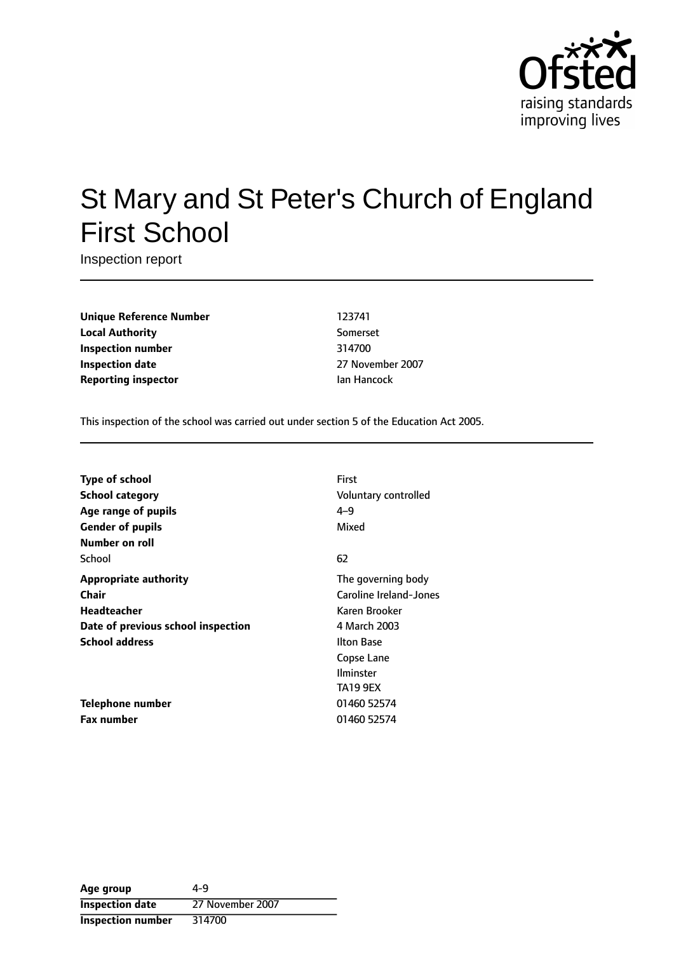

# St Mary and St Peter's Church of England First School

Inspection report

**Unique Reference Number** 123741 **Local Authority** Somerset **Inspection number** 314700 **Inspection date** 27 November 2007 **Reporting inspector In the Internal Proportional Ian Hancock** 

This inspection of the school was carried out under section 5 of the Education Act 2005.

| Type of school                     | First                  |
|------------------------------------|------------------------|
| <b>School category</b>             | Voluntary controlled   |
| Age range of pupils                | $4 - 9$                |
| <b>Gender of pupils</b>            | Mixed                  |
| Number on roll                     |                        |
| School                             | 62                     |
| <b>Appropriate authority</b>       | The governing body     |
| Chair                              | Caroline Ireland-Jones |
| Headteacher                        | Karen Brooker          |
| Date of previous school inspection | 4 March 2003           |
| <b>School address</b>              | <b>Ilton Base</b>      |
|                                    | Copse Lane             |
|                                    | <b>Ilminster</b>       |
|                                    | <b>TA19 9EX</b>        |
| Telephone number                   | 01460 52574            |
| <b>Fax number</b>                  | 01460 52574            |

| Age group                | 4-9              |
|--------------------------|------------------|
| <b>Inspection date</b>   | 27 November 2007 |
| <b>Inspection number</b> | 314700           |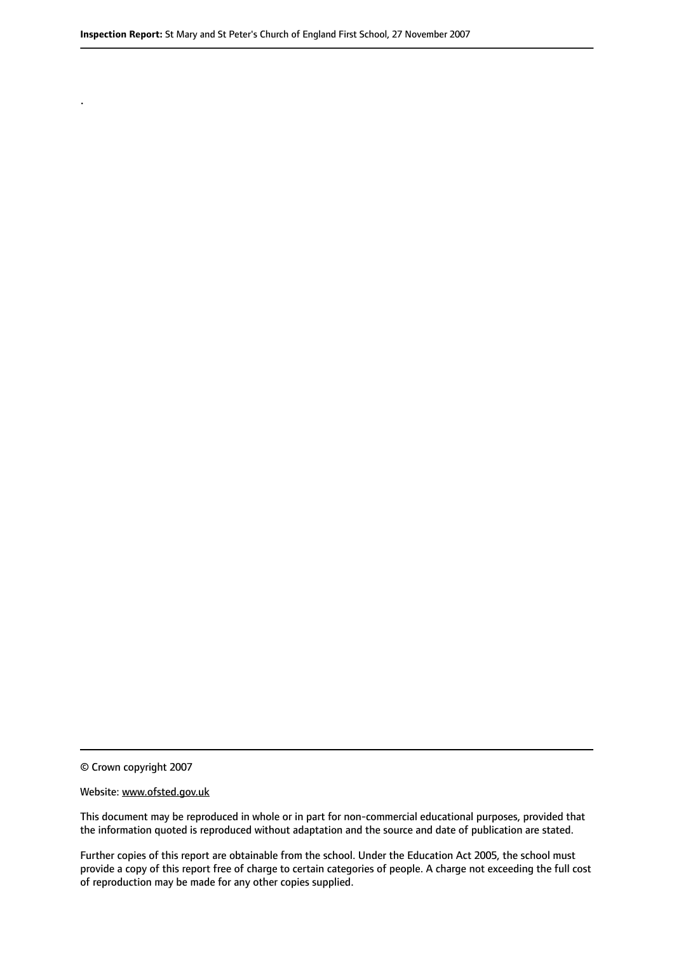© Crown copyright 2007

.

#### Website: www.ofsted.gov.uk

This document may be reproduced in whole or in part for non-commercial educational purposes, provided that the information quoted is reproduced without adaptation and the source and date of publication are stated.

Further copies of this report are obtainable from the school. Under the Education Act 2005, the school must provide a copy of this report free of charge to certain categories of people. A charge not exceeding the full cost of reproduction may be made for any other copies supplied.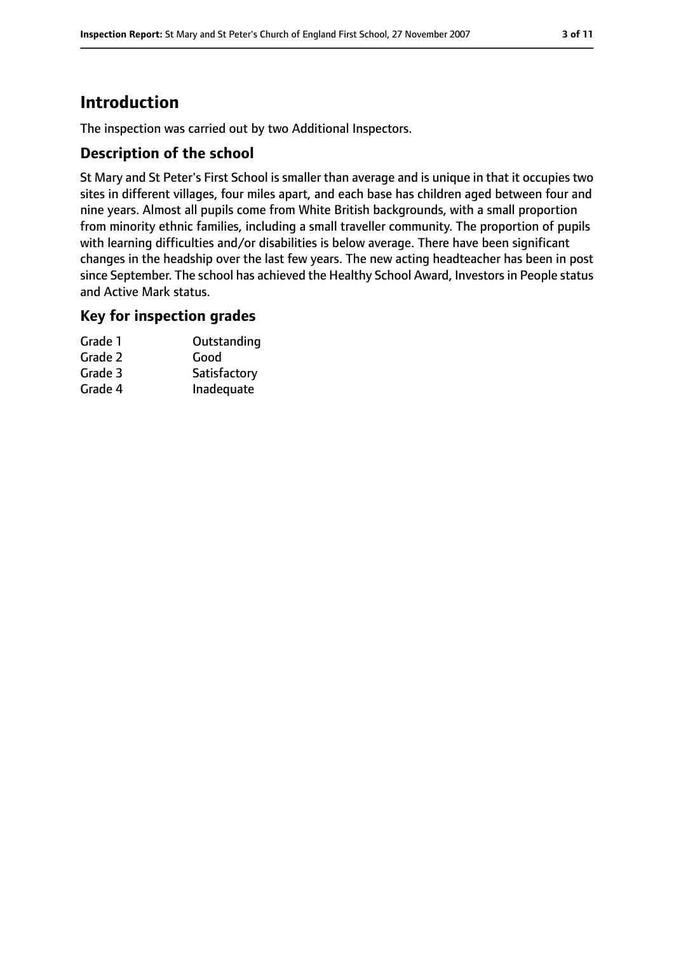## **Introduction**

The inspection was carried out by two Additional Inspectors.

#### **Description of the school**

St Mary and St Peter's First School is smaller than average and is unique in that it occupies two sites in different villages, four miles apart, and each base has children aged between four and nine years. Almost all pupils come from White British backgrounds, with a small proportion from minority ethnic families, including a small traveller community. The proportion of pupils with learning difficulties and/or disabilities is below average. There have been significant changes in the headship over the last few years. The new acting headteacher has been in post since September. The school has achieved the Healthy School Award, Investors in People status and Active Mark status.

#### **Key for inspection grades**

| Grade 1 | Outstanding  |
|---------|--------------|
| Grade 2 | Good         |
| Grade 3 | Satisfactory |
| Grade 4 | Inadequate   |
|         |              |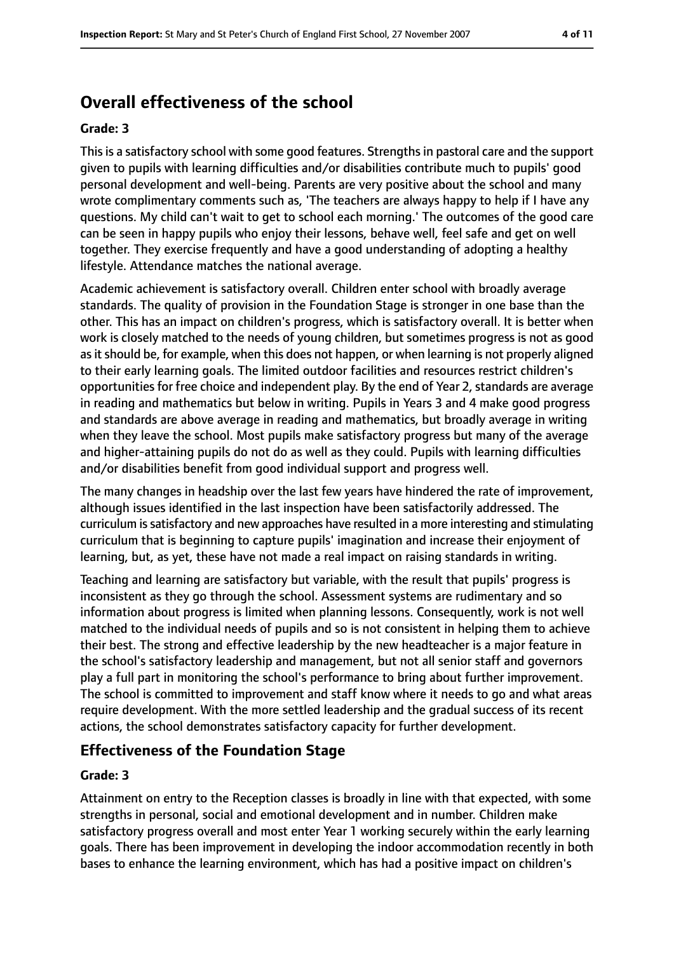# **Overall effectiveness of the school**

#### **Grade: 3**

This is a satisfactory school with some good features. Strengths in pastoral care and the support given to pupils with learning difficulties and/or disabilities contribute much to pupils' good personal development and well-being. Parents are very positive about the school and many wrote complimentary comments such as, 'The teachers are always happy to help if I have any questions. My child can't wait to get to school each morning.' The outcomes of the good care can be seen in happy pupils who enjoy their lessons, behave well, feel safe and get on well together. They exercise frequently and have a good understanding of adopting a healthy lifestyle. Attendance matches the national average.

Academic achievement is satisfactory overall. Children enter school with broadly average standards. The quality of provision in the Foundation Stage is stronger in one base than the other. This has an impact on children's progress, which is satisfactory overall. It is better when work is closely matched to the needs of young children, but sometimes progress is not as good as it should be, for example, when this does not happen, or when learning is not properly aligned to their early learning goals. The limited outdoor facilities and resources restrict children's opportunities for free choice and independent play. By the end of Year 2, standards are average in reading and mathematics but below in writing. Pupils in Years 3 and 4 make good progress and standards are above average in reading and mathematics, but broadly average in writing when they leave the school. Most pupils make satisfactory progress but many of the average and higher-attaining pupils do not do as well as they could. Pupils with learning difficulties and/or disabilities benefit from good individual support and progress well.

The many changes in headship over the last few years have hindered the rate of improvement, although issues identified in the last inspection have been satisfactorily addressed. The curriculum issatisfactory and new approaches have resulted in a more interesting and stimulating curriculum that is beginning to capture pupils' imagination and increase their enjoyment of learning, but, as yet, these have not made a real impact on raising standards in writing.

Teaching and learning are satisfactory but variable, with the result that pupils' progress is inconsistent as they go through the school. Assessment systems are rudimentary and so information about progress is limited when planning lessons. Consequently, work is not well matched to the individual needs of pupils and so is not consistent in helping them to achieve their best. The strong and effective leadership by the new headteacher is a major feature in the school's satisfactory leadership and management, but not all senior staff and governors play a full part in monitoring the school's performance to bring about further improvement. The school is committed to improvement and staff know where it needs to go and what areas require development. With the more settled leadership and the gradual success of its recent actions, the school demonstrates satisfactory capacity for further development.

#### **Effectiveness of the Foundation Stage**

#### **Grade: 3**

Attainment on entry to the Reception classes is broadly in line with that expected, with some strengths in personal, social and emotional development and in number. Children make satisfactory progress overall and most enter Year 1 working securely within the early learning goals. There has been improvement in developing the indoor accommodation recently in both bases to enhance the learning environment, which has had a positive impact on children's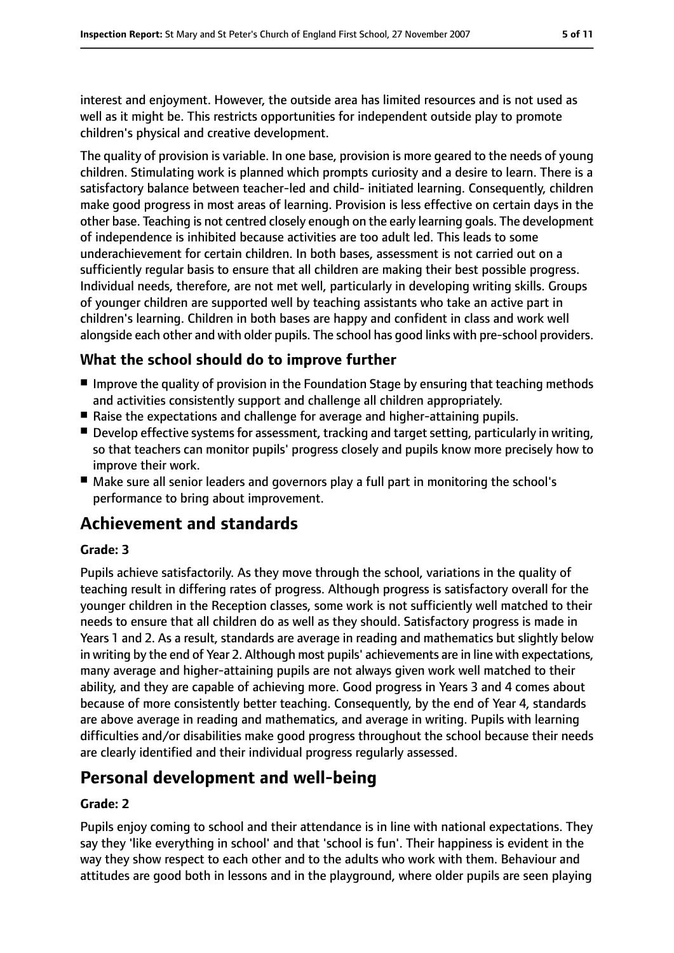interest and enjoyment. However, the outside area has limited resources and is not used as well as it might be. This restricts opportunities for independent outside play to promote children's physical and creative development.

The quality of provision is variable. In one base, provision is more geared to the needs of young children. Stimulating work is planned which prompts curiosity and a desire to learn. There is a satisfactory balance between teacher-led and child- initiated learning. Consequently, children make good progress in most areas of learning. Provision is less effective on certain days in the other base. Teaching is not centred closely enough on the early learning goals. The development of independence is inhibited because activities are too adult led. This leads to some underachievement for certain children. In both bases, assessment is not carried out on a sufficiently regular basis to ensure that all children are making their best possible progress. Individual needs, therefore, are not met well, particularly in developing writing skills. Groups of younger children are supported well by teaching assistants who take an active part in children's learning. Children in both bases are happy and confident in class and work well alongside each other and with older pupils. The school has good links with pre-school providers.

### **What the school should do to improve further**

- Improve the quality of provision in the Foundation Stage by ensuring that teaching methods and activities consistently support and challenge all children appropriately.
- Raise the expectations and challenge for average and higher-attaining pupils.
- $\blacksquare$  Develop effective systems for assessment, tracking and target setting, particularly in writing, so that teachers can monitor pupils' progress closely and pupils know more precisely how to improve their work.
- Make sure all senior leaders and governors play a full part in monitoring the school's performance to bring about improvement.

# **Achievement and standards**

#### **Grade: 3**

Pupils achieve satisfactorily. As they move through the school, variations in the quality of teaching result in differing rates of progress. Although progress is satisfactory overall for the younger children in the Reception classes, some work is not sufficiently well matched to their needs to ensure that all children do as well as they should. Satisfactory progress is made in Years 1 and 2. As a result, standards are average in reading and mathematics but slightly below in writing by the end of Year 2. Although most pupils' achievements are in line with expectations, many average and higher-attaining pupils are not always given work well matched to their ability, and they are capable of achieving more. Good progress in Years 3 and 4 comes about because of more consistently better teaching. Consequently, by the end of Year 4, standards are above average in reading and mathematics, and average in writing. Pupils with learning difficulties and/or disabilities make good progress throughout the school because their needs are clearly identified and their individual progress regularly assessed.

### **Personal development and well-being**

#### **Grade: 2**

Pupils enjoy coming to school and their attendance is in line with national expectations. They say they 'like everything in school' and that 'school is fun'. Their happiness is evident in the way they show respect to each other and to the adults who work with them. Behaviour and attitudes are good both in lessons and in the playground, where older pupils are seen playing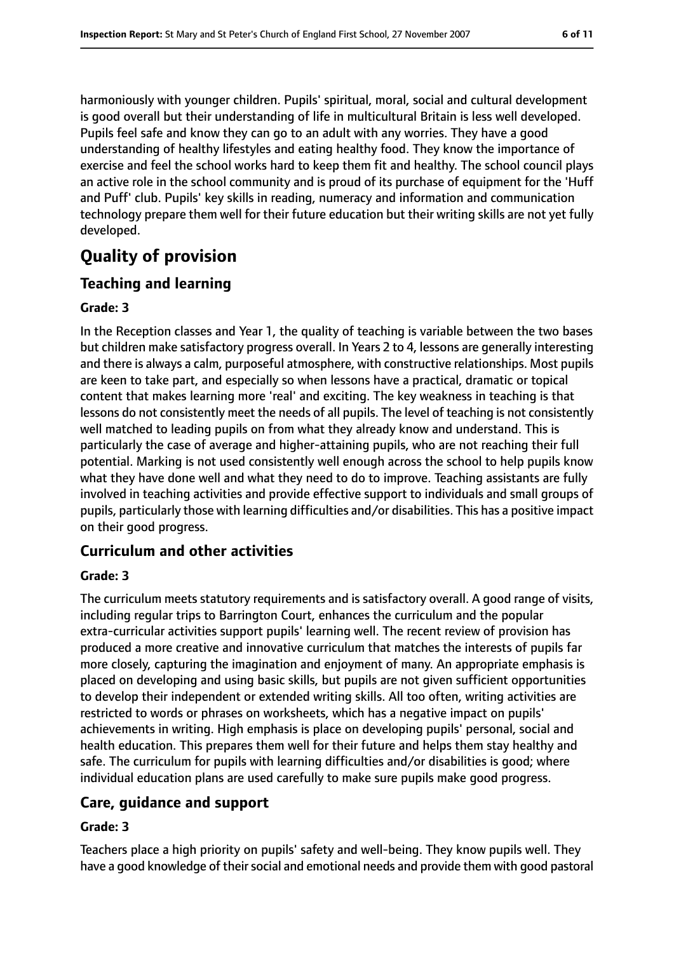harmoniously with younger children. Pupils' spiritual, moral, social and cultural development is good overall but their understanding of life in multicultural Britain is less well developed. Pupils feel safe and know they can go to an adult with any worries. They have a good understanding of healthy lifestyles and eating healthy food. They know the importance of exercise and feel the school works hard to keep them fit and healthy. The school council plays an active role in the school community and is proud of its purchase of equipment for the 'Huff and Puff' club. Pupils' key skills in reading, numeracy and information and communication technology prepare them well for their future education but their writing skills are not yet fully developed.

# **Quality of provision**

### **Teaching and learning**

#### **Grade: 3**

In the Reception classes and Year 1, the quality of teaching is variable between the two bases but children make satisfactory progress overall. In Years 2 to 4, lessons are generally interesting and there is always a calm, purposeful atmosphere, with constructive relationships. Most pupils are keen to take part, and especially so when lessons have a practical, dramatic or topical content that makes learning more 'real' and exciting. The key weakness in teaching is that lessons do not consistently meet the needs of all pupils. The level of teaching is not consistently well matched to leading pupils on from what they already know and understand. This is particularly the case of average and higher-attaining pupils, who are not reaching their full potential. Marking is not used consistently well enough across the school to help pupils know what they have done well and what they need to do to improve. Teaching assistants are fully involved in teaching activities and provide effective support to individuals and small groups of pupils, particularly those with learning difficulties and/or disabilities. This has a positive impact on their good progress.

### **Curriculum and other activities**

#### **Grade: 3**

The curriculum meets statutory requirements and is satisfactory overall. A good range of visits, including regular trips to Barrington Court, enhances the curriculum and the popular extra-curricular activities support pupils' learning well. The recent review of provision has produced a more creative and innovative curriculum that matches the interests of pupils far more closely, capturing the imagination and enjoyment of many. An appropriate emphasis is placed on developing and using basic skills, but pupils are not given sufficient opportunities to develop their independent or extended writing skills. All too often, writing activities are restricted to words or phrases on worksheets, which has a negative impact on pupils' achievements in writing. High emphasis is place on developing pupils' personal, social and health education. This prepares them well for their future and helps them stay healthy and safe. The curriculum for pupils with learning difficulties and/or disabilities is good; where individual education plans are used carefully to make sure pupils make good progress.

### **Care, guidance and support**

#### **Grade: 3**

Teachers place a high priority on pupils' safety and well-being. They know pupils well. They have a good knowledge of their social and emotional needs and provide them with good pastoral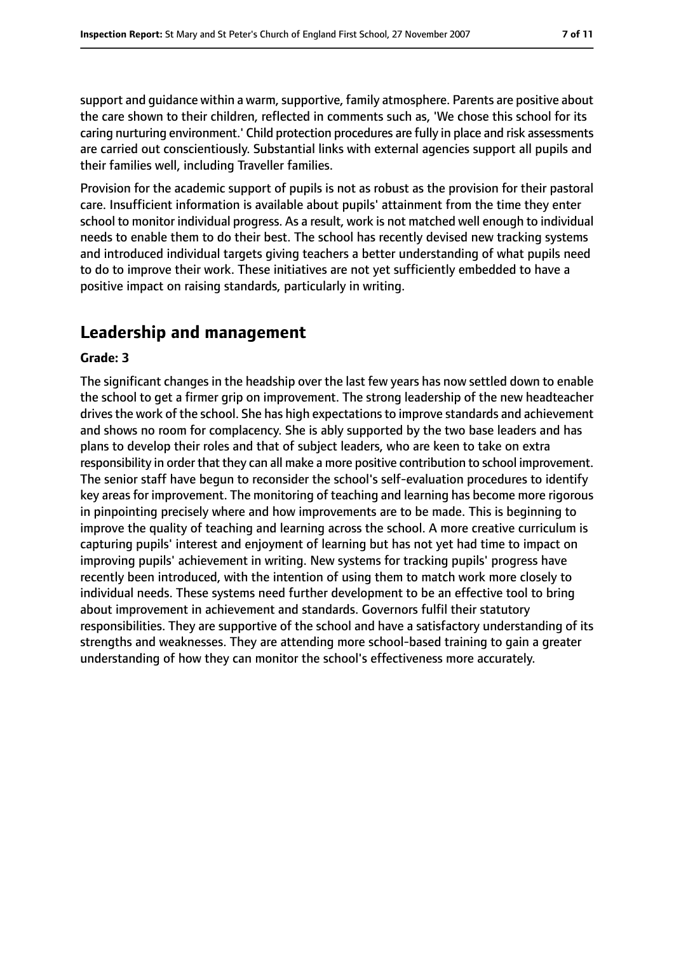support and quidance within a warm, supportive, family atmosphere. Parents are positive about the care shown to their children, reflected in comments such as, 'We chose this school for its caring nurturing environment.' Child protection procedures are fully in place and risk assessments are carried out conscientiously. Substantial links with external agencies support all pupils and their families well, including Traveller families.

Provision for the academic support of pupils is not as robust as the provision for their pastoral care. Insufficient information is available about pupils' attainment from the time they enter school to monitor individual progress. As a result, work is not matched well enough to individual needs to enable them to do their best. The school has recently devised new tracking systems and introduced individual targets giving teachers a better understanding of what pupils need to do to improve their work. These initiatives are not yet sufficiently embedded to have a positive impact on raising standards, particularly in writing.

# **Leadership and management**

#### **Grade: 3**

The significant changes in the headship over the last few years has now settled down to enable the school to get a firmer grip on improvement. The strong leadership of the new headteacher drives the work of the school. She has high expectations to improve standards and achievement and shows no room for complacency. She is ably supported by the two base leaders and has plans to develop their roles and that of subject leaders, who are keen to take on extra responsibility in order that they can all make a more positive contribution to school improvement. The senior staff have begun to reconsider the school's self-evaluation procedures to identify key areas for improvement. The monitoring of teaching and learning has become more rigorous in pinpointing precisely where and how improvements are to be made. This is beginning to improve the quality of teaching and learning across the school. A more creative curriculum is capturing pupils' interest and enjoyment of learning but has not yet had time to impact on improving pupils' achievement in writing. New systems for tracking pupils' progress have recently been introduced, with the intention of using them to match work more closely to individual needs. These systems need further development to be an effective tool to bring about improvement in achievement and standards. Governors fulfil their statutory responsibilities. They are supportive of the school and have a satisfactory understanding of its strengths and weaknesses. They are attending more school-based training to gain a greater understanding of how they can monitor the school's effectiveness more accurately.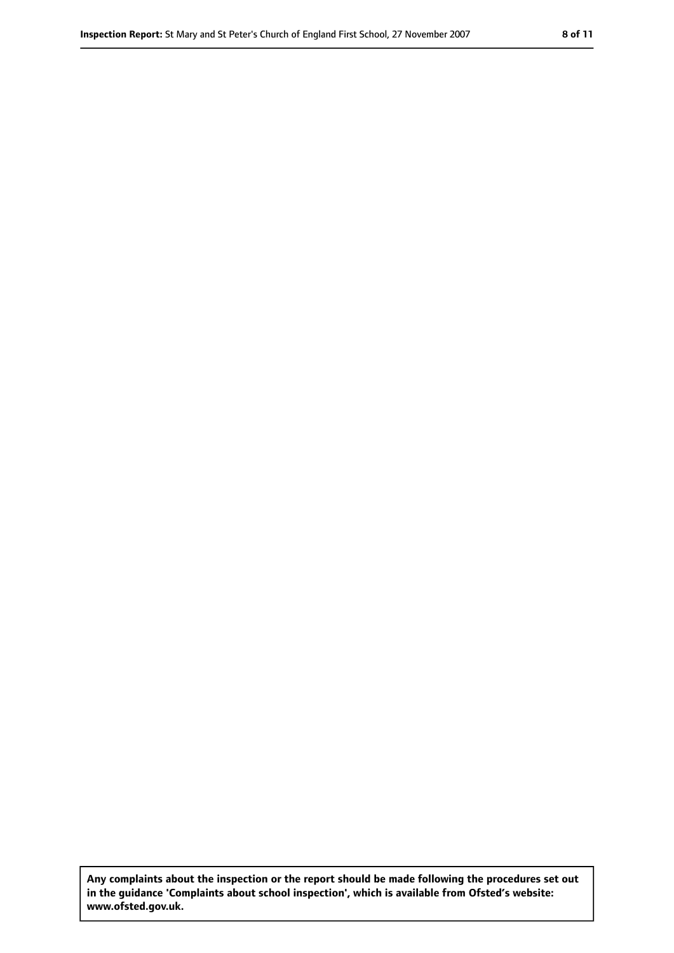**Any complaints about the inspection or the report should be made following the procedures set out in the guidance 'Complaints about school inspection', which is available from Ofsted's website: www.ofsted.gov.uk.**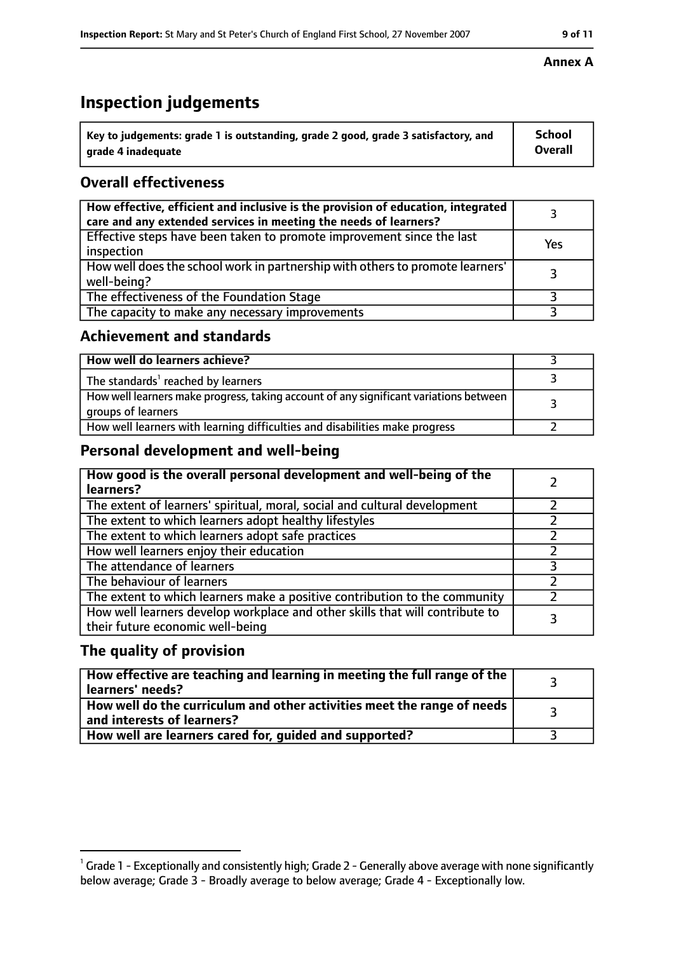# **Inspection judgements**

| $\lq$ Key to judgements: grade 1 is outstanding, grade 2 good, grade 3 satisfactory, and | School         |
|------------------------------------------------------------------------------------------|----------------|
| arade 4 inadequate                                                                       | <b>Overall</b> |

### **Overall effectiveness**

| How effective, efficient and inclusive is the provision of education, integrated<br>care and any extended services in meeting the needs of learners? |     |
|------------------------------------------------------------------------------------------------------------------------------------------------------|-----|
| Effective steps have been taken to promote improvement since the last<br>inspection                                                                  | Yes |
| How well does the school work in partnership with others to promote learners'<br>well-being?                                                         |     |
| The effectiveness of the Foundation Stage                                                                                                            |     |
| The capacity to make any necessary improvements                                                                                                      |     |

#### **Achievement and standards**

| How well do learners achieve?                                                                               |  |
|-------------------------------------------------------------------------------------------------------------|--|
| The standards <sup>1</sup> reached by learners                                                              |  |
| How well learners make progress, taking account of any significant variations between<br>groups of learners |  |
| How well learners with learning difficulties and disabilities make progress                                 |  |

### **Personal development and well-being**

| How good is the overall personal development and well-being of the<br>learners?                                  |  |
|------------------------------------------------------------------------------------------------------------------|--|
| The extent of learners' spiritual, moral, social and cultural development                                        |  |
| The extent to which learners adopt healthy lifestyles                                                            |  |
| The extent to which learners adopt safe practices                                                                |  |
| How well learners enjoy their education                                                                          |  |
| The attendance of learners                                                                                       |  |
| The behaviour of learners                                                                                        |  |
| The extent to which learners make a positive contribution to the community                                       |  |
| How well learners develop workplace and other skills that will contribute to<br>their future economic well-being |  |

#### **The quality of provision**

| How effective are teaching and learning in meeting the full range of the<br>learners' needs?          |  |
|-------------------------------------------------------------------------------------------------------|--|
| How well do the curriculum and other activities meet the range of needs<br>and interests of learners? |  |
| How well are learners cared for, guided and supported?                                                |  |

#### **Annex A**

 $^1$  Grade 1 - Exceptionally and consistently high; Grade 2 - Generally above average with none significantly below average; Grade 3 - Broadly average to below average; Grade 4 - Exceptionally low.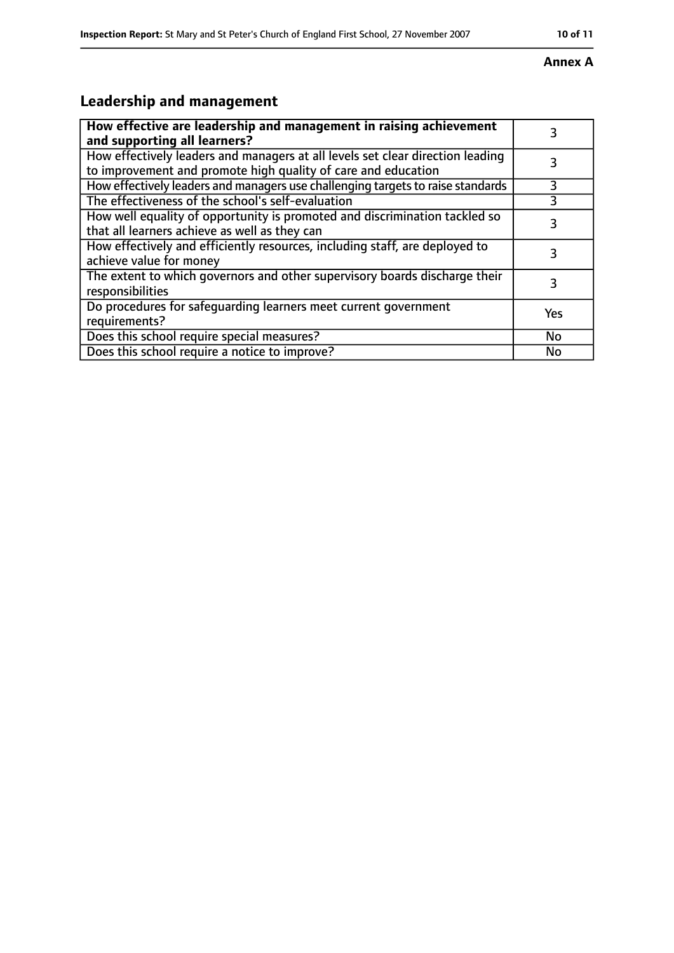#### **Annex A**

# **Leadership and management**

| How effective are leadership and management in raising achievement<br>and supporting all learners?                                              |     |
|-------------------------------------------------------------------------------------------------------------------------------------------------|-----|
| How effectively leaders and managers at all levels set clear direction leading<br>to improvement and promote high quality of care and education |     |
| How effectively leaders and managers use challenging targets to raise standards                                                                 | 3   |
| The effectiveness of the school's self-evaluation                                                                                               | 3   |
| How well equality of opportunity is promoted and discrimination tackled so<br>that all learners achieve as well as they can                     |     |
| How effectively and efficiently resources, including staff, are deployed to<br>achieve value for money                                          | 3   |
| The extent to which governors and other supervisory boards discharge their<br>responsibilities                                                  |     |
| Do procedures for safequarding learners meet current government<br>requirements?                                                                | Yes |
| Does this school require special measures?                                                                                                      | No  |
| Does this school require a notice to improve?                                                                                                   | No  |